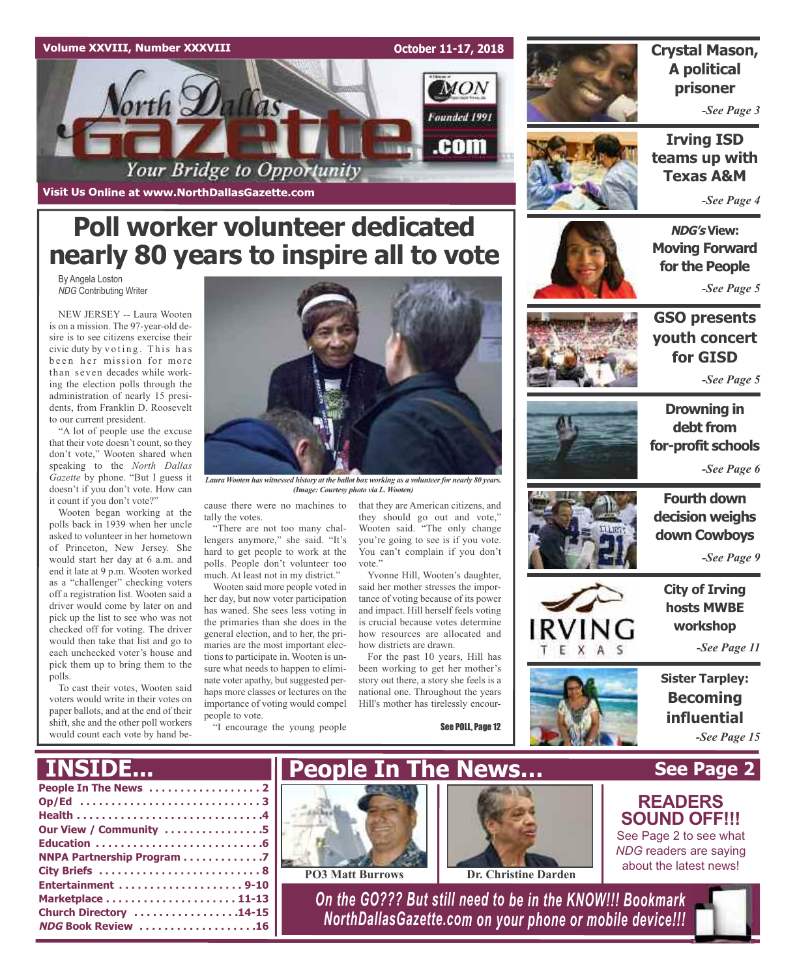

## **Poll worker volunteer dedicated nearly 80 years to inspire all to vote**

By Angela Loston *NDG* Contributing Writer

NEW JERSEY -- Laura Wooten is on a mission. The 97-year-old desire is to see citizens exercise their civic duty by voting. This has been her mission for more than seven decades while working the election polls through the administration of nearly 15 presidents, from Franklin D. Roosevelt to our current president.

"A lot of people use the excuse that their vote doesn't count, so they don't vote," Wooten shared when speaking to the *North Dallas Gazette* by phone. "But I guess it doesn't if you don't vote. How can it count if you don't vote?"

Wooten began working at the polls back in 1939 when her uncle asked to volunteer in her hometown of Princeton, New Jersey. She would start her day at 6 a.m. and end it late at 9 p.m. Wooten worked as a "challenger" checking voters off a registration list. Wooten said a driver would come by later on and pick up the list to see who was not checked off for voting. The driver would then take that list and go to each unchecked voter's house and pick them up to bring them to the polls.

To cast their votes, Wooten said voters would write in their votes on paper ballots, and at the end of their shift, she and the other poll workers would count each vote by hand be-



*Laura Wooten has witnessed history at the ballot box working as a volunteerfor nearly 80 years. (Image: Courtesy photo via L. Wooten)*

cause there were no machines to tally the votes.

"There are not too many challengers anymore," she said. "It's hard to get people to work at the polls. People don't volunteer too much. At least not in my district."

Wooten said more people voted in her day, but now voter participation has waned. She sees less voting in the primaries than she does in the general election, and to her, the primaries are the most important elections to participate in. Wooten is unsure what needs to happen to eliminate voter apathy, but suggested perhaps more classes or lectures on the importance of voting would compel people to vote.

that they are American citizens, and they should go out and vote," Wooten said. "The only change you're going to see is if you vote. You can't complain if you don't vote"

Yvonne Hill, Wooten's daughter, said her mother stresses the importance of voting because of its power and impact. Hill herself feels voting is crucial because votes determine how resources are allocated and how districts are drawn.

For the past 10 years, Hill has been working to get her mother's story out there, a story she feels is a national one. Throughout the years Hill's mother has tirelessly encour-



/IN

*-See Page 9*

**City of Irving hosts MWBE workshop**

*-See Page 11*

**Sister Tarpley: Becoming influential**





*-See Page 5*



**Crystal Mason,**

**Irving ISD teams up with Texas A&M**

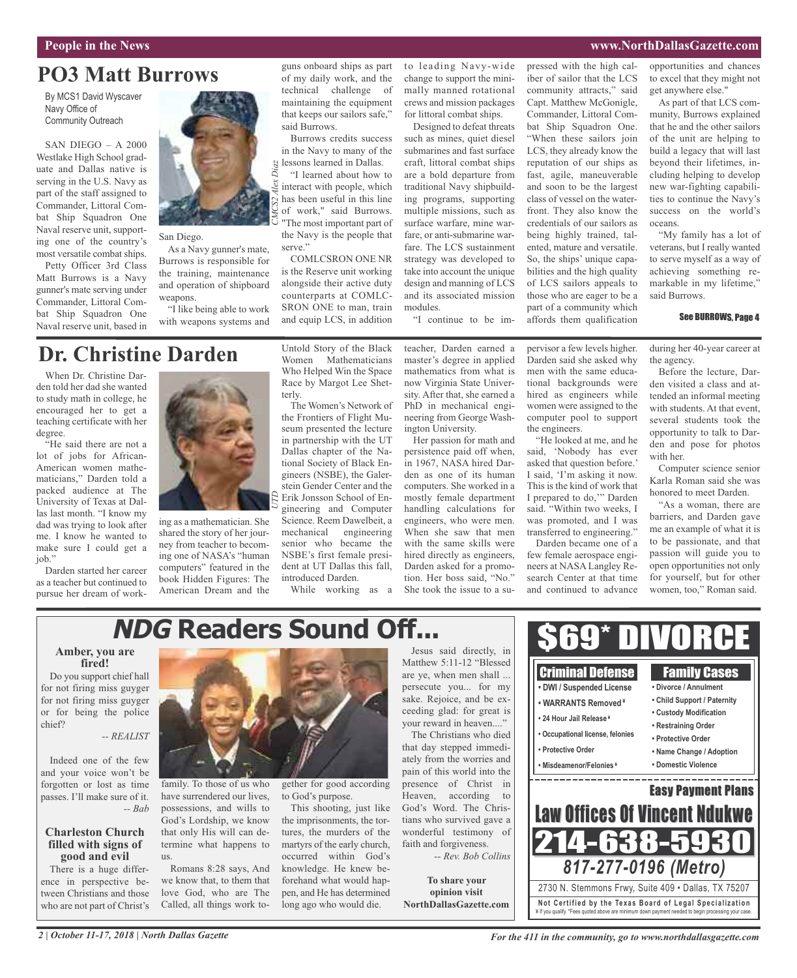#### **People in the News www.NorthDallasGazette.com**

### **PO3 Matt Burrows**

By MCS1 David Wyscaver Navy Office of Community Outreach

SAN DIEGO – A 2000 Westlake High School graduate and Dallas native is serving in the U.S. Navy as part of the staff assigned to Commander, Littoral Combat Ship Squadron One Naval reserve unit, supporting one of the country's most versatile combat ships.

Petty Officer 3rd Class Matt Burrows is a Navy gunner's mate serving under Commander, Littoral Combat Ship Squadron One Naval reserve unit, based in



#### San Diego.

As a Navy gunner's mate, Burrows is responsible for the training, maintenance and operation of shipboard weapons.

"I like being able to work with weapons systems and

### **Dr. Christine Darden**

When Dr. Christine Darden told her dad she wanted to study math in college, he encouraged her to get a teaching certificate with her degree.

"He said there are not a lot of jobs for African-American women mathematicians," Darden told a packed audience at The University of Texas at Dallas last month. "I know my dad was trying to look after me. I know he wanted to make sure I could get a job."

Darden started her career as a teacher but continued to pursue her dream of work-



ing as a mathematician. She shared the story of her journey from teacher to becoming one of NASA's "human computers" featured in the book Hidden Figures: The American Dream and the

Untold Story of the Black Women Mathematicians Who Helped Win the Space Race by Margot Lee Shetterly.

guns onboard ships as part of my daily work, and the technical challenge of maintaining the equipment that keeps our sailors safe,"

Burrows credits success in the Navy to many of the

"I learned about how to interact with people, which has been useful in this line of work," said Burrows. "The most important part of the Navy is the people that

COMLCSRON ONE NR is the Reserve unit working alongside their active duty counterparts at COMLC-SRON ONE to man, train and equip LCS, in addition

said Burrows.

serve."

The Women's Network of the Frontiers of Flight Museum presented the lecture in partnership with the UT Dallas chapter of the National Society of Black Engineers (NSBE), the Galerstein Gender Center and the Erik Jonsson School of Engineering and Computer Science. Reem Dawelbeit, a mechanical engineering senior who became the NSBE's first female president at UT Dallas this fall, introduced Darden.

While working as a

to leading Navy-wide change to support the minimally manned rotational crews and mission packages for littoral combat ships.

Designed to defeat threats such as mines, quiet diesel submarines and fast surface craft, littoral combat ships are a bold departure from traditional Navy shipbuilding programs, supporting multiple missions, such as surface warfare, mine warfare, or anti-submarine warfare. The LCS sustainment strategy was developed to take into account the unique design and manning of LCS and its associated mission modules.

"I continue to be im-

pressed with the high caliber of sailor that the LCS community attracts," said Capt. Matthew McGonigle, Commander, Littoral Combat Ship Squadron One. "When these sailors join LCS, they already know the reputation of our ships as fast, agile, maneuverable and soon to be the largest class of vessel on the waterfront. They also know the credentials of our sailors as being highly trained, talented, mature and versatile. So, the ships' unique capabilities and the high quality of LCS sailors appeals to those who are eager to be a part of a community which affords them qualification

opportunities and chances to excel that they might not get anywhere else."

As part of that LCS community, Burrows explained that he and the other sailors of the unit are helping to build a legacy that will last beyond their lifetimes, including helping to develop new war-fighting capabilities to continue the Navy's success on the world's oceans.

"My family has a lot of veterans, but I really wanted to serve myself as a way of achieving something remarkable in my lifetime," said Burrows.

#### See BURROWS, Page 4

during her 40-year career at the agency.

Before the lecture, Darden visited a class and attended an informal meeting with students. At that event, several students took the opportunity to talk to Darden and pose for photos with her.

Computer science senior Karla Roman said she was honored to meet Darden.

"As a woman, there are barriers, and Darden gave me an example of what it is to be passionate, and that passion will guide you to open opportunities not only for yourself, but for other women, too," Roman said.

### **NDG Readers Sound Off...**

#### **Amber, you are fired!**

Do you support chief hall for not firing miss guyger for not firing miss guyger or for being the police chief?

#### *-- REALIST*

Indeed one of the few and your voice won't be forgotten or lost as time passes. I'll make sure of it. *-- Bab*

#### **Charleston Church filled with signs of good and evil**

There is a huge difference in perspective between Christians and those who are not part of Christ's



family. To those of us who have surrendered our lives, possessions, and wills to God's Lordship, we know that only His will can determine what happens to us.

Romans 8:28 says, And we know that, to them that love God, who are The Called, all things work together for good according to God's purpose.

This shooting, just like the imprisonments, the tortures, the murders of the martyrs of the early church, occurred within God's knowledge. He knew beforehand what would happen, and He has determined long ago who would die.

Jesus said directly, in Matthew 5:11-12 "Blessed are ye, when men shall ... persecute you... for my sake. Rejoice, and be exceeding glad: for great is your reward in heaven...." The Christians who died

She took the issue to a su-

that day stepped immediately from the worries and pain of this world into the presence of Christ in Heaven, according to God's Word. The Christians who survived gave a wonderful testimony of faith and forgiveness.

*-- Rev. Bob Collins*

**To share your opinion visit NorthDallasGazette.com**



*For the 411 in the community, go to www.northdallasgazette.com*

pervisor a few levels higher. Darden said she asked why men with the same educational backgrounds were

the engineers.

Darden became one of a few female aerospace engineers at NASA Langley Research Center at that time and continued to advance

teacher, Darden earned a master's degree in applied mathematics from what is now Virginia State University. After that, she earned a PhD in mechanical engineering from George Wash-

ington University. Her passion for math and persistence paid off when, in 1967, NASA hired Darden as one of its human computers. She worked in a mostly female department handling calculations for engineers, who were men. When she saw that men with the same skills were hired directly as engineers, Darden asked for a promotion. Her boss said, "No."

hired as engineers while women were assigned to the computer pool to support

"He looked at me, and he said, 'Nobody has ever asked that question before.' I said, 'I'm asking it now. This is the kind of work that I prepared to do,'" Darden said. "Within two weeks, I was promoted, and I was transferred to engineering."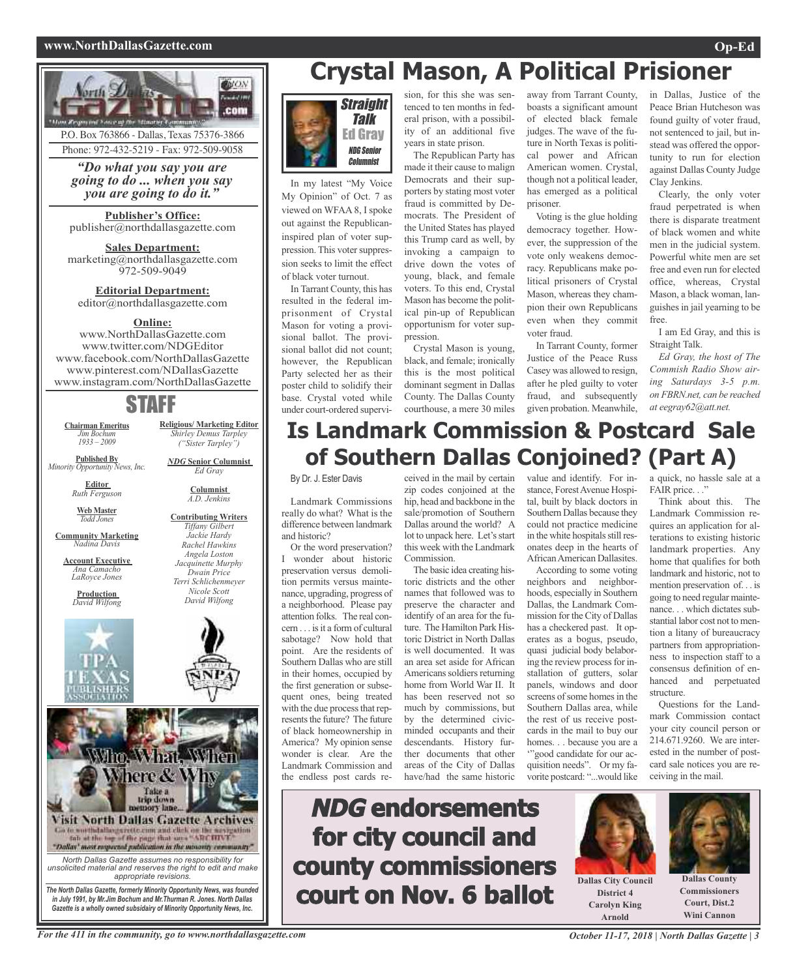#### **www.NorthDallasGazette.com Op-Ed**



Phone: 972-432-5219 - Fax: 972-509-9058

*"Do what you say you are going to do ... when you say you are going to do it."*

**Publisher's Office:** publisher@northdallasgazette.com

**Sales Department:** marketing@northdallasgazette.com 972-509-9049

**Editorial Department:** editor@northdallasgazette.com

#### **Online:**

www.NorthDallasGazette.com www.twitter.com/NDGEditor www.facebook.com/NorthDallasGazette www.pinterest.com/NDallasGazette www.instagram.com/NorthDallasGazette

### STAFF

**Chairman Emeritus** *Jim Bochum 1933 – 2009*

**Published By** *Minority Opportunity News, Inc.*

> **Editor** *Ruth Ferguson*

**Web Master** *Todd Jones*

**Community Marketing** *Nadina Davis*

**Account Executive** *Ana Camacho LaRoyce Jones*

**Production** *David Wilfong*



*Rachel Hawkins Angela Loston Jacquinette Murphy Dwain Price Terri Schlichenmeyer Nicole Scott David Wilfong*

**Religious/ Marketing Editor** *Shirley Demus Tarpley ("Sister Tarpley") NDG* **Senior Columnist** *Ed Gray* **Columnist** *A.D. Jenkins* **Contributing Writers** *Tiffany Gilbert Jackie Hardy*



## **Crystal Mason, A Political Prisioner**



In my latest "My Voice My Opinion" of Oct. 7 as viewed on WFAA 8, I spoke out against the Republicaninspired plan of voter suppression. This voter suppression seeks to limit the effect of black voter turnout.

In Tarrant County, this has resulted in the federal imprisonment of Crystal Mason for voting a provisional ballot. The provisional ballot did not count; however, the Republican Party selected her as their poster child to solidify their base. Crystal voted while under court-ordered supervision, for this she was sentenced to ten months in federal prison, with a possibility of an additional five years in state prison.

The Republican Party has made it their cause to malign Democrats and their supporters by stating most voter fraud is committed by Democrats. The President of the United States has played this Trump card as well, by invoking a campaign to drive down the votes of young, black, and female voters. To this end, Crystal Mason has become the political pin-up of Republican opportunism for voter suppression.

Crystal Mason is young, black, and female; ironically this is the most political dominant segment in Dallas County. The Dallas County courthouse, a mere 30 miles away from Tarrant County, boasts a significant amount of elected black female judges. The wave of the future in North Texas is political power and African American women. Crystal, though not a political leader, has emerged as a political prisoner.

Voting is the glue holding democracy together. However, the suppression of the vote only weakens democracy. Republicans make political prisoners of Crystal Mason, whereas they champion their own Republicans even when they commit voter fraud.

In Tarrant County, former Justice of the Peace Russ Casey was allowed to resign, after he pled guilty to voter fraud, and subsequently given probation. Meanwhile,

in Dallas, Justice of the Peace Brian Hutcheson was found guilty of voter fraud, not sentenced to jail, but instead was offered the opportunity to run for election against Dallas County Judge Clay Jenkins.

Clearly, the only voter fraud perpetrated is when there is disparate treatment of black women and white men in the judicial system. Powerful white men are set free and even run for elected office, whereas, Crystal Mason, a black woman, languishes in jail yearning to be free.

I am Ed Gray, and this is Straight Talk.

*Ed Gray, the host of The Commish Radio Show airing Saturdays 3-5 p.m. on FBRN.net, can be reached at eegray62@att.net.*

### **Is Landmark Commission & Postcard Sale of Southern Dallas Conjoined? (Part A)**

By Dr. J. Ester Davis

Landmark Commissions really do what? What is the difference between landmark and historic?

Or the word preservation? I wonder about historic preservation versus demolition permits versus maintenance, upgrading, progress of a neighborhood. Please pay attention folks. The real concern is it a form of cultural sabotage? Now hold that point. Are the residents of Southern Dallas who are still in their homes, occupied by the first generation or subsequent ones, being treated with the due process that represents the future? The future of black homeownership in America? My opinion sense wonder is clear. Are the Landmark Commission and the endless post cards received in the mail by certain zip codes conjoined at the hip, head and backbone in the sale/promotion of Southern Dallas around the world? A lot to unpack here. Let's start this week with the Landmark Commission.

The basic idea creating historic districts and the other names that followed was to preserve the character and identify of an area for the future. The Hamilton Park Historic District in North Dallas is well documented. It was an area set aside for African Americans soldiers returning home from World War II. It has been reserved not so much by commissions, but by the determined civicminded occupants and their descendants. History further documents that other areas of the City of Dallas have/had the same historic

value and identify. For instance, Forest Avenue Hospital, built by black doctors in Southern Dallas because they could not practice medicine in the white hospitals still resonates deep in the hearts of AfricanAmerican Dallasites.

According to some voting neighbors and neighborhoods, especially in Southern Dallas, the Landmark Commission for the City of Dallas has a checkered past. It operates as a bogus, pseudo, quasi judicial body belaboring the review process for installation of gutters, solar panels, windows and door screens of some homes in the Southern Dallas area, while the rest of us receive postcards in the mail to buy our homes. . . because you are a '"good candidate for our acquisition needs". Or my favorite postcard: "...would like

a quick, no hassle sale at a FAIR price..."

Think about this. The Landmark Commission requires an application for alterations to existing historic landmark properties. Any home that qualifies for both landmark and historic, not to mention preservation of. . . is going to need regular maintenance. . . which dictates substantial labor cost not to mention a litany of bureaucracy partners from appropriationness to inspection staff to a consensus definition of enhanced and perpetuated structure.

Questions for the Landmark Commission contact your city council person or 214.671.9260. We are interested in the number of postcard sale notices you are receiving in the mail.





**Commissioners Court, Dist.2 Wini Cannon**

For the 411 in the community, go to www.northdallasgazette.com October 11-17, 2018 | North Dallas Gazette | 3

**District 4 Carolyn King Arnold**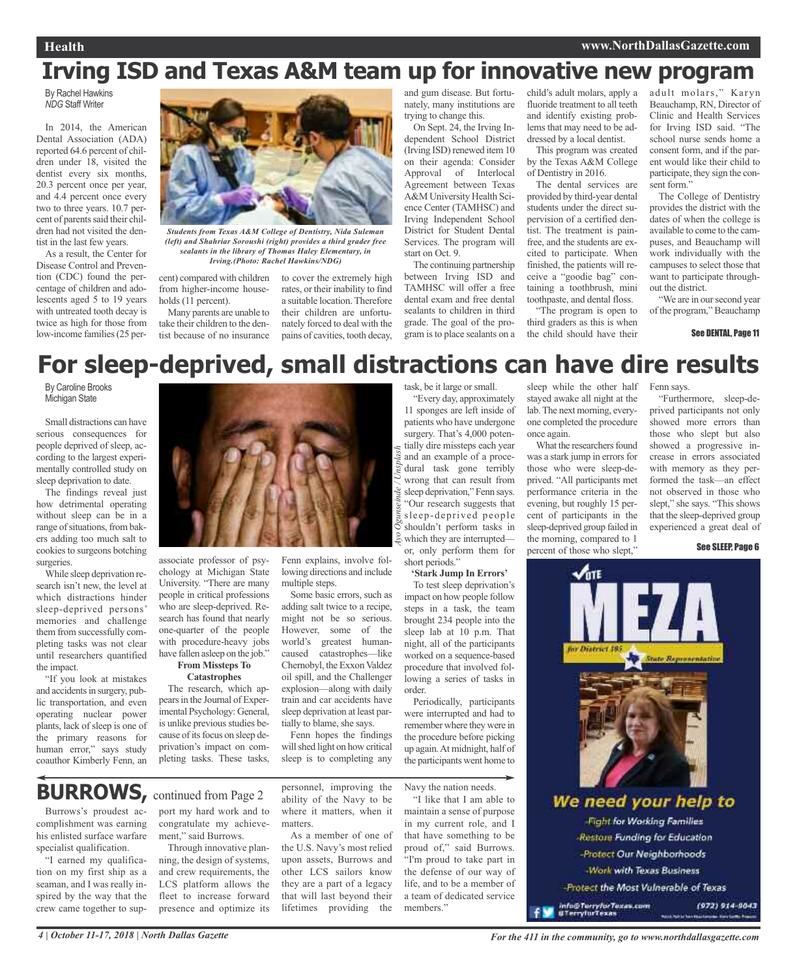### **Irving ISD and Texas A&M team up for innovative new program**

By Rachel Hawkins *NDG* Staff Writer

In 2014, the American Dental Association (ADA) reported 64.6 percent of children under 18, visited the dentist every six months, 20.3 percent once per year, and 4.4 percent once every two to three years. 10.7 percent of parents said their children had not visited the dentist in the last few years.

As a result, the Center for Disease Control and Prevention (CDC) found the percentage of children and adolescents aged 5 to 19 years with untreated tooth decay is twice as high for those from low-income families(25 per-



*Students from Texas A&M College of Dentistry, Nida Suleman (left) and Shahriar Soroushi (right) provides a third grader free sealants in the library of Thomas Haley Elementary, in Irving.(Photo: Rachel Hawkins/NDG)*

cent) compared with children to cover the extremely high from higher-income households (11 percent).

Many parents are unable to take their children to the dentist because of no insurance

rates, or their inability to find a suitable location. Therefore their children are unfortunately forced to deal with the pains of cavities, tooth decay, and gum disease. But fortunately, many institutions are trying to change this.

On Sept. 24, the Irving Independent School District (Irving ISD) renewed item 10 on their agenda: Consider Approval of Interlocal Agreement between Texas A&M University Health Science Center (TAMHSC) and Irving Independent School District for Student Dental Services. The program will start on Oct. 9.

The continuing partnership between Irving ISD and TAMHSC will offer a free dental exam and free dental sealants to children in third grade. The goal of the program isto place sealants on a

child's adult molars, apply a fluoride treatment to all teeth and identify existing problems that may need to be ad-

dressed by a local dentist. This program was created by the Texas A&M College of Dentistry in 2016.

The dental services are provided by third-year dental students under the direct supervision of a certified dentist. The treatment is painfree, and the students are excited to participate. When finished, the patients will receive a "goodie bag" containing a toothbrush, mini toothpaste, and dental floss.

"The program is open to third graders as this is when the child should have their

adult molars," Karyn Beauchamp, RN, Director of Clinic and Health Services for Irving ISD said. "The school nurse sends home a consent form, and if the parent would like their child to participate, they sign the consent form."

The College of Dentistry provides the district with the dates of when the college is available to come to the campuses, and Beauchamp will work individually with the campuses to select those that want to participate throughout the district.

"We are in our second year of the program," Beauchamp

#### See DENTAL, Page 11

### **For sleep-deprived, small distractions can have dire results**

By Caroline Brooks Michigan State

Small distractions can have serious consequences for people deprived of sleep, according to the largest experimentally controlled study on sleep deprivation to date.

The findings reveal just how detrimental operating without sleep can be in a range of situations, from bakers adding too much salt to cookies to surgeons botching surgeries.

While sleep deprivation research isn't new, the level at which distractions hinder sleep-deprived persons' memories and challenge them from successfully completing tasks was not clear until researchers quantified the impact.

"If you look at mistakes and accidents in surgery, public transportation, and even operating nuclear power plants, lack of sleep is one of the primary reasons for human error," says study coauthor Kimberly Fenn, an

associate professor of psychology at Michigan State University. "There are many people in critical professions who are sleep-deprived. Research has found that nearly one-quarter of the people with procedure-heavy jobs have fallen asleep on the job." **From Missteps To**

### **Catastrophes**

The research, which appearsin the Journal of Experimental Psychology: General, is unlike previous studies because of its focus on sleep deprivation's impact on completing tasks. These tasks,

Fenn explains, involve following directions and include

multiple steps. Some basic errors, such as adding salt twice to a recipe, might not be so serious. However, some of the world's greatest humancaused catastrophes—like Chernobyl, the Exxon Valdez oil spill, and the Challenger explosion—along with daily train and car accidents have sleep deprivation at least partially to blame, she says.

Fenn hopes the findings will shed light on how critical sleep is to completing any

### **BURROWS, continued from Page 2**

Burrows's proudest accomplishment was earning his enlisted surface warfare specialist qualification.

"I earned my qualification on my first ship as a seaman, and I was really inspired by the way that the crew came together to support my hard work and to congratulate my achievement," said Burrows.

Through innovative planning, the design of systems, and crew requirements, the LCS platform allows the fleet to increase forward presence and optimize its

personnel, improving the ability of the Navy to be where it matters, when it matters.

As a member of one of the U.S. Navy's most relied upon assets, Burrows and other LCS sailors know they are a part of a legacy that will last beyond their lifetimes providing the

task, be it large or small.

"Every day, approximately 11 sponges are left inside of patients who have undergone surgery. That's 4,000 potentially dire missteps each year and an example of a procedural task gone terribly wrong that can result from sleep deprivation," Fenn says. "Our research suggests that sleep-deprived people shouldn't perform tasks in which they are interrupted or, only perform them for short periods."

**'Stark Jump In Errors'**

To test sleep deprivation's impact on how people follow steps in a task, the team brought 234 people into the sleep lab at 10 p.m. That night, all of the participants worked on a sequence-based procedure that involved following a series of tasks in order.

Periodically, participants were interrupted and had to remember where they were in the procedure before picking up again.At midnight, half of the participants went home to

Navy the nation needs.

"I like that I am able to maintain a sense of purpose in my current role, and I that have something to be proud of," said Burrows. "I'm proud to take part in the defense of our way of life, and to be a member of a team of dedicated service members."

sleep while the other half stayed awake all night at the lab.The next morning, everyone completed the procedure once again.

What the researchers found was a stark jump in errors for those who were sleep-deprived. "All participants met performance criteria in the evening, but roughly 15 percent of participants in the sleep-deprived group failed in the morning, compared to 1 percent of those who slept,"

Fenn says.

"Furthermore, sleep-deprived participants not only showed more errors than those who slept but also showed a progressive increase in errors associated with memory as they performed the task—an effect not observed in those who slept," she says. "This shows that the sleep-deprived group experienced a great deal of

#### See SLEEP, Page 6



Protect the Most Vulnerable of Texas

info©TerrylorTexas.com<br>¤TerrylorTexas

*Ayo Ogunseinde / Unsplash*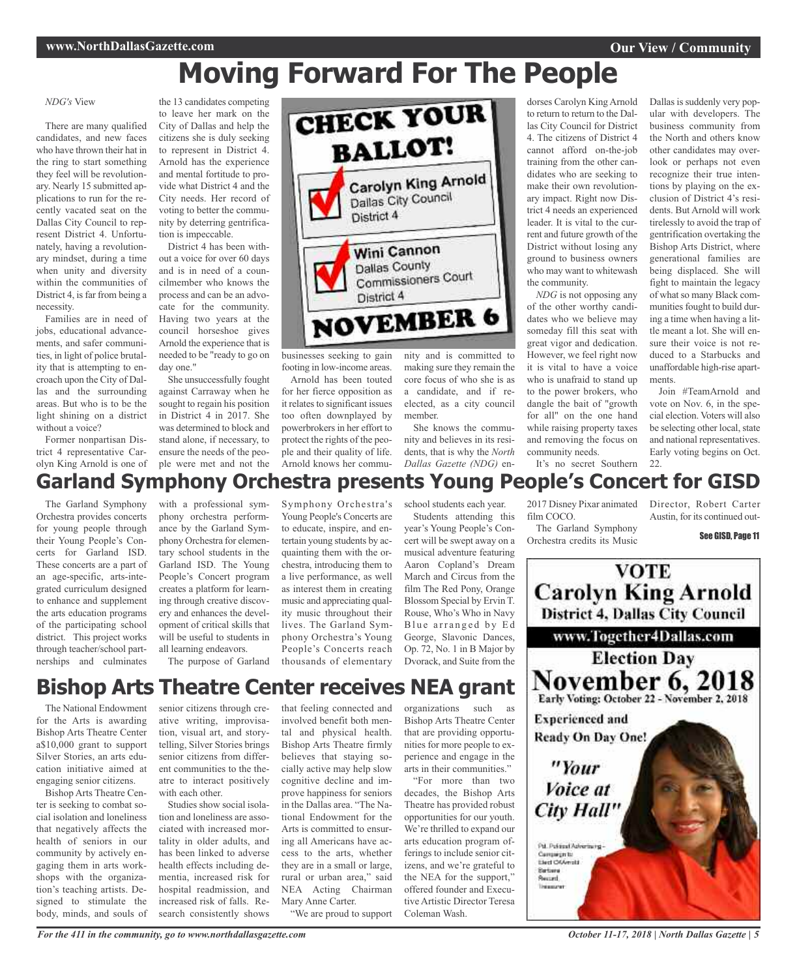## **Moving Forward For The People**

#### *NDG's* View

There are many qualified candidates, and new faces who have thrown their hat in the ring to start something they feel will be revolutionary. Nearly 15 submitted applications to run for the recently vacated seat on the Dallas City Council to represent District 4. Unfortunately, having a revolutionary mindset, during a time when unity and diversity within the communities of District 4, is far from being a necessity.

Families are in need of jobs, educational advancements, and safer communities, in light of police brutality that is attempting to encroach upon the City of Dallas and the surrounding areas. But who is to be the light shining on a district without a voice?

Former nonpartisan District 4 representative Carolyn King Arnold is one of

the 13 candidates competing to leave her mark on the City of Dallas and help the citizens she is duly seeking to represent in District 4. Arnold has the experience and mental fortitude to provide what District 4 and the City needs. Her record of voting to better the community by deterring gentrification is impeccable. District 4 has been with-

out a voice for over 60 days and is in need of a councilmember who knows the process and can be an advocate for the community. Having two years at the council horseshoe gives Arnold the experience that is needed to be "ready to go on day one."

She unsuccessfully fought against Carraway when he sought to regain his position in District 4 in 2017. She was determined to block and stand alone, if necessary, to ensure the needs of the people were met and not the



businesses seeking to gain footing in low-income areas.

Arnold has been touted for her fierce opposition as it relates to significant issues too often downplayed by powerbrokersin her effort to protect the rights of the people and their quality of life. Arnold knows her commu-

Symphony Orchestra's Young People's Concerts are to educate, inspire, and entertain young students by acquainting them with the ornity and is committed to making sure they remain the core focus of who she is as a candidate, and if reelected, as a city council member.

She knows the community and believes in its residents, that is why the *North Dallas Gazette (NDG)* endorses Carolyn KingArnold to return to return to the Dallas City Council for District 4. The citizens of District 4 cannot afford on-the-job training from the other candidates who are seeking to make their own revolutionary impact. Right now District 4 needs an experienced leader. It is vital to the current and future growth of the District without losing any ground to business owners who may want to whitewash the community.

*NDG* is not opposing any of the other worthy candidates who we believe may someday fill this seat with great vigor and dedication. However, we feel right now it is vital to have a voice who is unafraid to stand up to the power brokers, who dangle the bait of "growth for all" on the one hand while raising property taxes and removing the focus on community needs. It's no secret Southern Dallas is suddenly very popular with developers. The business community from the North and others know other candidates may overlook or perhaps not even recognize their true intentions by playing on the exclusion of District 4's residents. But Arnold will work tirelessly to avoid the trap of gentrification overtaking the Bishop Arts District, where generational families are being displaced. She will fight to maintain the legacy of what so many Black communities fought to build during a time when having a little meant a lot. She will ensure their voice is not reduced to a Starbucks and unaffordable high-rise apartments.

Join #TeamArnold and vote on Nov. 6, in the special election. Voters will also be selecting other local, state and national representatives. Early voting begins on Oct. 22.

### **Garland Symphony Orchestra presents Young People's Concert for GISD**

The Garland Symphony Orchestra provides concerts for young people through their Young People's Concerts for Garland ISD. These concerts are a part of an age-specific, arts-integrated curriculum designed to enhance and supplement the arts education programs of the participating school district. This project works through teacher/school partnerships and culminates

with a professional symphony orchestra performance by the Garland Symphony Orchestra for elementary school students in the Garland ISD. The Young People's Concert program creates a platform for learning through creative discovery and enhances the development of critical skills that will be useful to students in all learning endeavors. The purpose of Garland

chestra, introducing them to a live performance, as well as interest them in creating music and appreciating quality music throughout their lives. The Garland Symphony Orchestra's Young People's Concerts reach thousands of elementary

school students each year.

Students attending this year's Young People's Concert will be swept away on a musical adventure featuring Aaron Copland's Dream March and Circus from the film The Red Pony, Orange Blossom Special by Ervin T. Rouse, Who's Who in Navy Blue arranged by Ed George, Slavonic Dances, Op. 72, No. 1 in B Major by Dvorack, and Suite from the

#### 2017 Disney Pixar animated film COCO.

The Garland Symphony Orchestra credits its Music Director, Robert Carter Austin, for its continued out-

See GISD, Page 11



### **Bishop Arts Theatre Center receives NEA grant** that feeling connected and

The National Endowment for the Arts is awarding Bishop Arts Theatre Center a\$10,000 grant to support Silver Stories, an arts education initiative aimed at engaging senior citizens.

Bishop Arts Theatre Center is seeking to combat social isolation and loneliness that negatively affects the health of seniors in our community by actively engaging them in arts workshops with the organization's teaching artists. Designed to stimulate the body, minds, and souls of senior citizens through creative writing, improvisation, visual art, and storytelling, Silver Stories brings senior citizens from different communities to the theatre to interact positively with each other.

Studies show social isolation and loneliness are associated with increased mortality in older adults, and has been linked to adverse health effects including dementia, increased risk for hospital readmission, and increased risk of falls. Research consistently shows

involved benefit both mental and physical health. Bishop Arts Theatre firmly believes that staying socially active may help slow cognitive decline and improve happiness for seniors in the Dallas area. "The National Endowment for the Arts is committed to ensuring all Americans have access to the arts, whether they are in a small or large, rural or urban area," said NEA Acting Chairman Mary Anne Carter.

"We are proud to support

organizations such as Bishop Arts Theatre Center that are providing opportunities for more people to experience and engage in the arts in their communities."

"For more than two decades, the Bishop Arts Theatre has provided robust opportunities for our youth. We're thrilled to expand our arts education program offerings to include senior citizens, and we're grateful to the NEA for the support," offered founder and Executive Artistic Director Teresa Coleman Wash.

*October 11-17, 2018 | North Dallas Gazette | 5*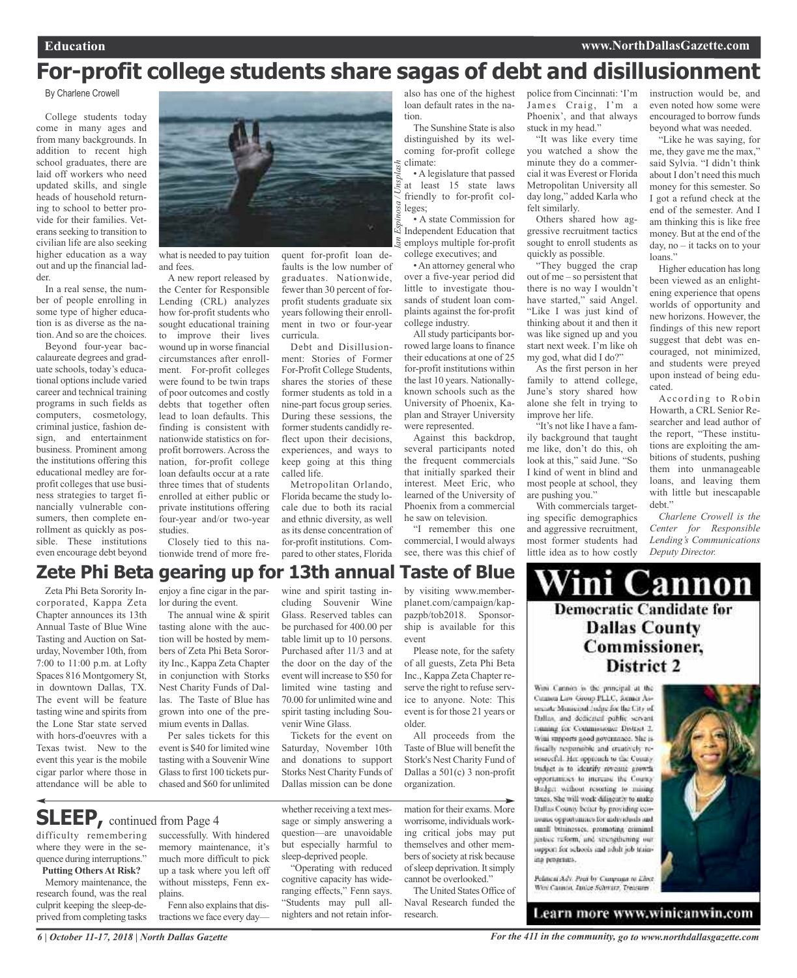### **For-profit college students share sagas of debt and disillusionment**

#### By Charlene Crowell

College students today come in many ages and from many backgrounds. In addition to recent high school graduates, there are laid off workers who need updated skills, and single heads of household returning to school to better provide for their families. Veterans seeking to transition to civilian life are also seeking higher education as a way out and up the financial ladder.

In a real sense, the number of people enrolling in some type of higher education is as diverse as the nation. And so are the choices.

Beyond four-year baccalaureate degrees and graduate schools, today's educational options include varied career and technical training programs in such fields as computers, cosmetology, criminal justice, fashion design, and entertainment business. Prominent among the institutions offering this educational medley are forprofit colleges that use business strategies to target financially vulnerable consumers, then complete enrollment as quickly as possible. These institutions even encourage debt beyond



what is needed to pay tuition and fees.

A new report released by the Center for Responsible Lending (CRL) analyzes how for-profit students who sought educational training to improve their lives wound up in worse financial circumstances after enrollment. For-profit colleges were found to be twin traps of poor outcomes and costly debts that together often lead to loan defaults. This finding is consistent with nationwide statistics on forprofit borrowers. Across the nation, for-profit college loan defaults occur at a rate three times that of students enrolled at either public or private institutions offering four-year and/or two-year studies.

Closely tied to this nationwide trend of more frequent for-profit loan defaults is the low number of graduates. Nationwide, fewer than 30 percent of forprofit students graduate six years following their enrollment in two or four-year curricula.

Debt and Disillusionment: Stories of Former For-Profit College Students, shares the stories of these former students as told in a nine-part focus group series. During these sessions, the former students candidly reflect upon their decisions, experiences, and ways to keep going at this thing called life.

Metropolitan Orlando, Florida became the study locale due to both its racial and ethnic diversity, as well as its dense concentration of for-profit institutions. Compared to other states, Florida

also has one of the highest loan default rates in the nation.

The Sunshine State is also distinguished by its welcoming for-profit college climate:

• A legislature that passed at least 15 state laws friendly to for-profit colleges; *Ian Espinosa / Unsplash*

• A state Commission for Independent Education that employs multiple for-profit college executives; and

•An attorney general who over a five-year period did little to investigate thousands of student loan complaints against the for-profit college industry.

All study participants borrowed large loans to finance their educations at one of 25 for-profit institutions within the last 10 years. Nationallyknown schools such as the University of Phoenix, Kaplan and Strayer University were represented.

Against this backdrop, several participants noted the frequent commercials that initially sparked their interest. Meet Eric, who learned of the University of Phoenix from a commercial he saw on television.

"I remember this one commercial, I would always see, there was this chief of

police from Cincinnati: 'I'm James Craig, I'm a Phoenix', and that always stuck in my head."

"It was like every time you watched a show the minute they do a commercial it was Everest or Florida Metropolitan University all day long," added Karla who felt similarly.

Others shared how aggressive recruitment tactics sought to enroll students as quickly as possible.

"They bugged the crap out of me – so persistent that there is no way I wouldn't have started," said Angel. "Like I was just kind of thinking about it and then it was like signed up and you start next week. I'm like oh my god, what did I do?"

As the first person in her family to attend college, June's story shared how alone she felt in trying to improve her life.

"It's not like I have a family background that taught me like, don't do this, oh look at this," said June. "So I kind of went in blind and most people at school, they are pushing you."

With commercials targeting specific demographics and aggressive recruitment, most former students had little idea as to how costly

instruction would be, and even noted how some were encouraged to borrow funds beyond what was needed.

"Like he was saying, for me, they gave me the max," said Sylvia. "I didn't think about I don't need this much money for this semester. So I got a refund check at the end of the semester. And I am thinking this is like free money. But at the end of the day, no – it tacks on to your loans."

Higher education haslong been viewed as an enlightening experience that opens worlds of opportunity and new horizons. However, the findings of this new report suggest that debt was encouraged, not minimized, and students were preyed upon instead of being educated.

According to Robin Howarth, a CRL Senior Researcher and lead author of the report, "These institutions are exploiting the ambitions of students, pushing them into unmanageable loans, and leaving them with little but inescapable debt."

*Charlene Crowell is the Center for Responsible Lending's Communications Deputy Director.*

### **Zete Phi Beta gearing up for 13th annual Taste of Blue**

Zeta Phi Beta Sorority Incorporated, Kappa Zeta Chapter announces its 13th Annual Taste of Blue Wine Tasting and Auction on Saturday, November 10th, from 7:00 to 11:00 p.m. at Lofty Spaces 816 Montgomery St, in downtown Dallas, TX. The event will be feature tasting wine and spirits from the Lone Star state served with hors-d'oeuvres with a Texas twist. New to the event this year is the mobile cigar parlor where those in attendance will be able to

enjoy a fine cigar in the parlor during the event.

The annual wine & spirit tasting alone with the auction will be hosted by members of Zeta Phi Beta Sorority Inc., Kappa Zeta Chapter in conjunction with Storks Nest Charity Funds of Dallas. The Taste of Blue has grown into one of the premium events in Dallas.

Per sales tickets for this event is \$40 for limited wine tasting with a Souvenir Wine Glassto first 100 tickets purchased and \$60 for unlimited wine and spirit tasting including Souvenir Wine Glass. Reserved tables can be purchased for 400.00 per table limit up to 10 persons. Purchased after 11/3 and at the door on the day of the event will increase to \$50 for limited wine tasting and 70.00 for unlimited wine and spirit tasting including Souvenir Wine Glass. Tickets for the event on

Saturday, November 10th and donations to support Storks Nest Charity Funds of Dallas mission can be done

**SLEEP**, continued from Page 4

*6 | October 11-17, 2018 | North Dallas Gazette*

difficulty remembering where they were in the sequence during interruptions." **Putting Others At Risk?**

Memory maintenance, the research found, was the real culprit keeping the sleep-deprived from completing tasks successfully. With hindered memory maintenance, it's much more difficult to pick up a task where you left off without missteps, Fenn explains.

Fenn also explains that distractions we face every daywhether receiving a text message or simply answering a question—are unavoidable but especially harmful to sleep-deprived people.

"Operating with reduced cognitive capacity has wideranging effects," Fenn says. "Students may pull allnighters and not retain inforby visiting www.memberplanet.com/campaign/kappazpb/tob2018. Sponsorship is available for this event

Please note, for the safety of all guests, Zeta Phi Beta Inc., Kappa Zeta Chapter reserve the right to refuse service to anyone. Note: This event is for those 21 years or older.

All proceeds from the Taste of Blue will benefit the Stork's Nest Charity Fund of Dallas a 501(c) 3 non-profit organization.

mation for their exams. More worrisome, individuals working critical jobs may put themselves and other members of society at risk because of sleep deprivation. It simply cannot be overlooked."

The United States Office of Naval Research funded the research.

Wini Cannon **Democratic Candidate for Dallas County** Commissioner, District 2

Wini Cannon is the principal at the Cannon Lin-Group PLLC, former Assecrete Monicipal Judge for the City of Dallas, and dedicated public servent framing for Commissioner District 2. Wini surgeorts nood novemance. She isfiscally responsible and creatively resourceful. Her opptunch to the County. budget in to identify revenue growth opportunities to increase the Councy. Bodget without resorting to mising taxes. She will week dilinearly to make Dallas County befur by providing cennomic opportunnes for individuals and small businesses, promoting criminal justice ruform, and strengthening our support for schools and adult job training programs.

Pelineal Adv. Post by Campage to Elect. Wey Cannot, Junior Schwarz, Treasurer

Learn more www.winicanwin.com

*For the 411 in the community, go to www.northdallasgazette.com*

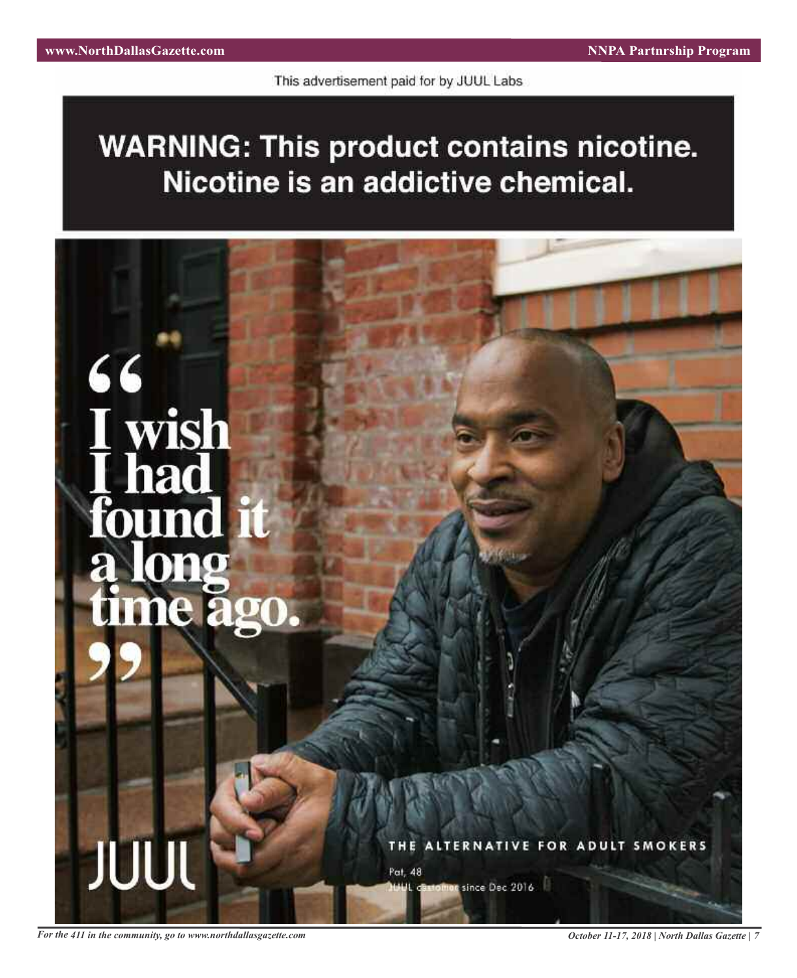This advertisement paid for by JUUL Labs

**WARNING: This product contains nicotine.** Nicotine is an addictive chemical.



For the 411 in the community, go to www.northdallasgazette.com October 11-17, 2018 | North Dallas Gazette | 7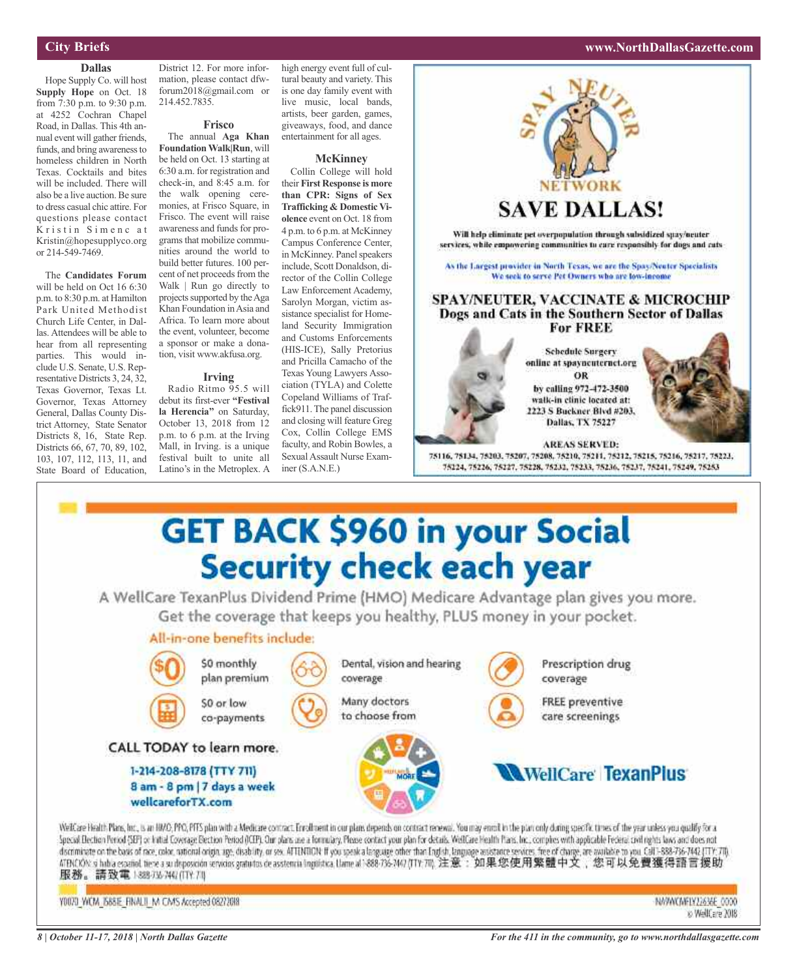#### **City Briefs**

#### **Dallas**

Hope Supply Co. will host **Supply Hope** on Oct. 18 from 7:30 p.m. to 9:30 p.m. at 4252 Cochran Chapel Road, in Dallas. This 4th annual event will gather friends, funds, and bring awareness to homeless children in North Texas. Cocktails and bites will be included. There will also be a live auction. Be sure to dress casual chic attire. For questions please contact Kristin Simenc at Kristin@hopesupplyco.org or 214-549-7469.

The **Candidates Forum** will be held on Oct 16 6:30 p.m. to 8:30 p.m. at Hamilton Park United Methodist Church Life Center, in Dallas. Attendees will be able to hear from all representing parties. This would include U.S. Senate, U.S. Representative Districts 3, 24, 32, Texas Governor, Texas Lt. Governor, Texas Attorney General, Dallas County District Attorney, State Senator Districts 8, 16, State Rep. Districts 66, 67, 70, 89, 102, 103, 107, 112, 113, 11, and State Board of Education,

District 12. For more information, please contact dfwforum2018@gmail.com or 214.452.7835.

#### **Frisco**

The annual **Aga Khan FoundationWalk|Run**, will be held on Oct. 13 starting at 6:30 a.m. for registration and check-in, and 8:45 a.m. for the walk opening ceremonies, at Frisco Square, in Frisco. The event will raise awareness and funds for programs that mobilize communities around the world to build better futures. 100 percent of net proceeds from the Walk | Run go directly to projects supported by the Aga Khan Foundation inAsia and Africa. To learn more about the event, volunteer, become a sponsor or make a donation, visit www.akfusa.org.

#### **Irving**

Radio Ritmo 95.5 will debut its first-ever **"Festival la Herencia"** on Saturday, October 13, 2018 from 12 p.m. to 6 p.m. at the Irving Mall, in Irving. is a unique festival built to unite all Latino's in the Metroplex. A

high energy event full of cultural beauty and variety. This is one day family event with live music, local bands, artists, beer garden, games, giveaways, food, and dance entertainment for all ages.

#### **McKinney**

Collin College will hold their **First Response is more than CPR: Signs of Sex Trafficking & Domestic Violence** event on Oct. 18 from 4 p.m. to 6 p.m. at McKinney Campus Conference Center, in McKinney. Panel speakers include, Scott Donaldson, director of the Collin College Law Enforcement Academy, Sarolyn Morgan, victim assistance specialist for Homeland Security Immigration and Customs Enforcements (HIS-ICE), Sally Pretorius and Pricilla Camacho of the Texas Young Lawyers Association (TYLA) and Colette Copeland Williams of Traffick911.The panel discussion and closing will feature Greg Cox, Collin College EMS faculty, and Robin Bowles, a Sexual Assault Nurse Examiner (S.A.N.E.)



A WellCare TexanPlus Dividend Prime (HMO) Medicare Advantage plan gives you more. Get the coverage that keeps you healthy, PLUS money in your pocket.

### All-in-one benefits include:

8 am - 8 pm | 7 days a week

wellcareforTX.com



Prescription drug coverage

**FREE preventive** care screenings

### **WellCare TexanPlus**

Welfcare Health Plans, Inc., is an HMO, PPG, PFFS plan with a Medicare contract. Enrollment in our plans depends on contract renewal. You may enroll in the plan only during specific times of the year unless you qualify for Special Election Period (SEP) or Initial Coverage Bection Period (ICEP). Our plans are a formulary, Please contact your plan for details. Wis! Care Health Plans, Inc., comples with applicable Federal civil rights laws and discriminate on the basis of race, color, national origin, age, disability, or sex. ATTENTION: If you upeak a language other than English, language assistance services, free of change, are available to you. Call 1-888-736-ATENCKON si habia español tiene a su deposición servicios gratuitos de asstencia inguistica, Uame al 1888-736-747 (TTY:70), 注意:如果您使用繁體中文,您可以免費獲得語言援助, 服務。請致電18897574747117171

Y0070 WCM 668E FINALII M CMS Accepted 08272018

NAPACAFIY12636E\_0000 o Well, are 2018

### **www.NorthDallasGazette.com**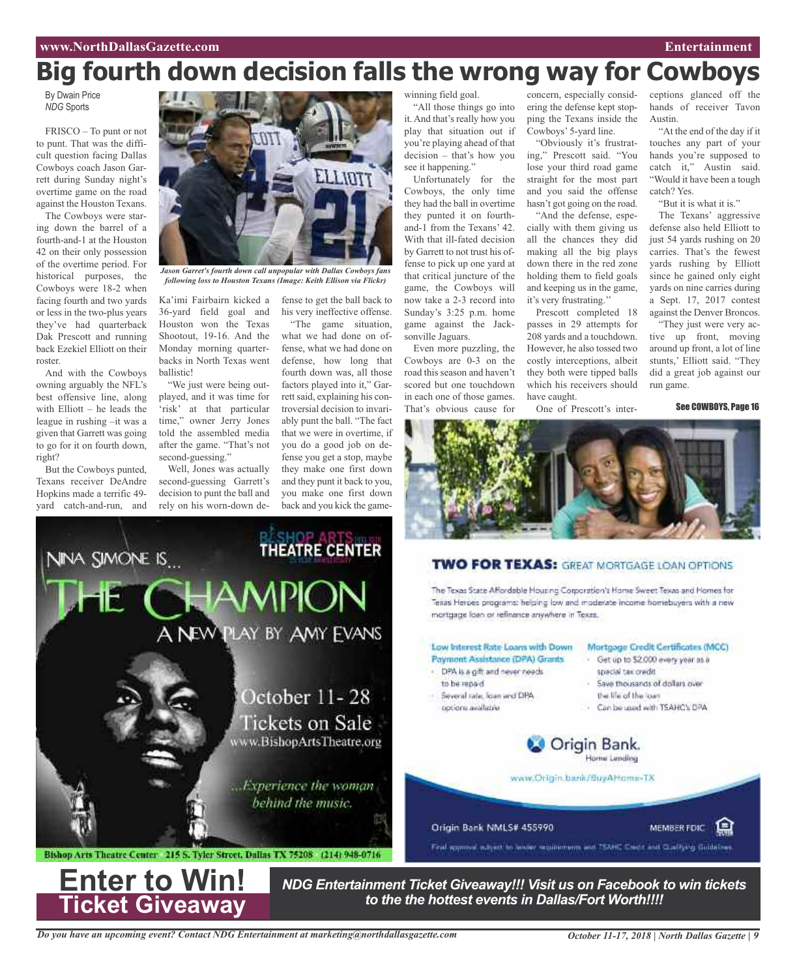ceptions glanced off the hands of receiver Tavon

"At the end of the day if it touches any part of your hands you're supposed to catch it," Austin said. "Would it have been a tough

"But it is what it is." The Texans' aggressive defense also held Elliott to just 54 yards rushing on 20 carries. That's the fewest yards rushing by Elliott since he gained only eight yards on nine carries during a Sept. 17, 2017 contest against the Denver Broncos. "They just were very active up front, moving around up front, a lot of line stunts,' Elliott said. "They did a great job against our

Austin.

catch? Yes.

run game.

See COWBOYS, Page 16

## **Big fourth down decision falls the wrong way for Cowboys**

By Dwain Price *NDG* Sports

FRISCO – To punt or not to punt. That was the difficult question facing Dallas Cowboys coach Jason Garrett during Sunday night's overtime game on the road against the Houston Texans.

The Cowboys were staring down the barrel of a fourth-and-1 at the Houston 42 on their only possession of the overtime period. For historical purposes, the Cowboys were 18-2 when facing fourth and two yards or less in the two-plus years they've had quarterback Dak Prescott and running back Ezekiel Elliott on their roster.

And with the Cowboys owning arguably the NFL's best offensive line, along with Elliott – he leads the league in rushing –it was a given that Garrett was going to go for it on fourth down, right?

But the Cowboys punted, Texans receiver DeAndre Hopkins made a terrific 49 yard catch-and-run, and

VINA SIMONE IS...



*following loss to Houston Texans (Image: Keith Ellison via Flickr)*

Ka'imi Fairbairn kicked a 36-yard field goal and Houston won the Texas Shootout, 19-16. And the Monday morning quarterbacks in North Texas went ballistic!

"We just were being outplayed, and it was time for 'risk' at that particular time," owner Jerry Jones told the assembled media after the game. "That's not second-guessing."

Well, Jones was actually second-guessing Garrett's decision to punt the ball and rely on his worn-down de-

fense to get the ball back to his very ineffective offense.

"The game situation, what we had done on offense, what we had done on defense, how long that fourth down was, all those factors played into it," Garrett said, explaining his controversial decision to invariably punt the ball. "The fact that we were in overtime, if you do a good job on defense you get a stop, maybe they make one first down and they punt it back to you, you make one first down back and you kick the game-

**SHOP ART THEATRE CENTER**  winning field goal.

"All those things go into it. And that's really how you play that situation out if you're playing ahead of that decision – that's how you see it happening."

Unfortunately for the Cowboys, the only time they had the ball in overtime they punted it on fourthand-1 from the Texans' 42. With that ill-fated decision by Garrett to not trust his offense to pick up one yard at that critical juncture of the game, the Cowboys will now take a 2-3 record into Sunday's 3:25 p.m. home game against the Jacksonville Jaguars.

Even more puzzling, the Cowboys are 0-3 on the road this season and haven't scored but one touchdown in each one of those games. That's obvious cause for

concern, especially considering the defense kept stopping the Texans inside the Cowboys' 5-yard line.

"Obviously it's frustrating," Prescott said. "You lose your third road game straight for the most part and you said the offense hasn't got going on the road.

"And the defense, especially with them giving us all the chances they did making all the big plays down there in the red zone holding them to field goals and keeping us in the game, it's very frustrating.''

Prescott completed 18 passes in 29 attempts for 208 yards and a touchdown. However, he also tossed two costly interceptions, albeit they both were tipped balls which his receivers should have caught.

One of Prescott's inter-



### **TWO FOR TEXAS:** GREAT MORTGAGE LOAN OPTIONS

The Texas State Affordable Housing Corporation's Home Sweet Texas and Homes for Texas Heroes programs: helping low and moderate income homebuyers with a new



*Do you have an upcoming event? Contact NDG Entertainment at marketing@northdallasgazette.com*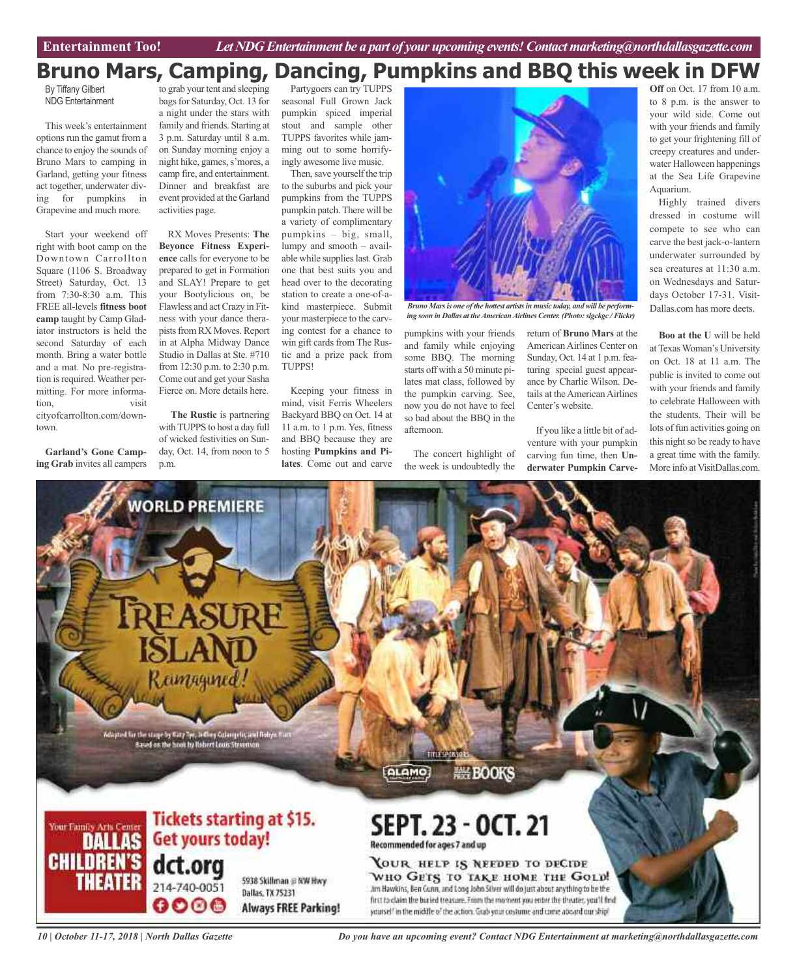### **Bruno Mars, Camping, Dancing, Pumpkins and BBQ this week in DFW**

By Tiffany Gilbert NDG Entertainment

This week's entertainment options run the gamut from a chance to enjoy the sounds of Bruno Mars to camping in Garland, getting your fitness act together, underwater diving for pumpkins in Grapevine and much more.

Start your weekend off right with boot camp on the Downtown Carrollton Square (1106 S. Broadway Street) Saturday, Oct. 13 from 7:30-8:30 a.m. This FREE all-levels **fitness boot camp** taught by Camp Gladiator instructors is held the second Saturday of each month. Bring a water bottle and a mat. No pre-registration is required. Weather permitting. For more information, visit cityofcarrollton.com/downtown.

**Garland's Gone Camping Grab** invites all campers

to grab your tent and sleeping bags for Saturday, Oct. 13 for a night under the stars with family and friends. Starting at 3 p.m. Saturday until 8 a.m. on Sunday morning enjoy a night hike, games, s'mores, a camp fire, and entertainment. Dinner and breakfast are event provided at the Garland activities page.

RX Moves Presents: **The Beyonce Fitness Experience** calls for everyone to be prepared to get in Formation and SLAY! Prepare to get your Bootylicious on, be Flawless and actCrazy in Fitness with your dance therapists from RX Moves. Report in at Alpha Midway Dance Studio in Dallas at Ste. #710 from 12:30 p.m. to 2:30 p.m. Come out and get your Sasha Fierce on. More details here.

**The Rustic** is partnering with TUPPS to host a day full of wicked festivities on Sunday, Oct. 14, from noon to 5 p.m.

Partygoers can try TUPPS seasonal Full Grown Jack pumpkin spiced imperial stout and sample other TUPPS favorites while jamming out to some horrifyingly awesome live music.

Then, save yourself the trip to the suburbs and pick your pumpkins from the TUPPS pumpkin patch.There will be a variety of complimentary pumpkins – big, small, lumpy and smooth – available while supplies last. Grab one that best suits you and head over to the decorating station to create a one-of-akind masterpiece. Submit your masterpiece to the carving contest for a chance to win gift cards from The Rustic and a prize pack from TUPPS!

Keeping your fitness in mind, visit Ferris Wheelers Backyard BBQ on Oct. 14 at 11 a.m. to 1 p.m. Yes, fitness and BBQ because they are hosting **Pumpkins and Pilates**. Come out and carve



*Bruno Marsis one of the hottest artistsin music today, and will be performing soon in Dallas at theAmericanAirlines Center. (Photo:slgckgc / Flickr)*

pumpkins with your friends and family while enjoying some BBQ. The morning starts off with a 50 minute pilates mat class, followed by the pumpkin carving. See, now you do not have to feel so bad about the BBQ in the afternoon.

The concert highlight of the week is undoubtedly the

return of **Bruno Mars** at the American Airlines Center on Sunday, Oct. 14 at 1 p.m. featuring special guest appearance by Charlie Wilson. Details at the American Airlines Center's website.

If you like a little bit of adventure with your pumpkin carving fun time, then **Underwater Pumpkin Carve-**

**Off** on Oct. 17 from 10 a.m. to 8 p.m. is the answer to your wild side. Come out with your friends and family to get your frightening fill of creepy creatures and underwater Halloween happenings at the Sea Life Grapevine Aquarium.

Highly trained divers dressed in costume will compete to see who can carve the best jack-o-lantern underwater surrounded by sea creatures at 11:30 a.m. on Wednesdays and Saturdays October 17-31. Visit-Dallas.com has more deets.

**Boo at the U** will be held atTexasWoman's University on Oct. 18 at 11 a.m. The public is invited to come out with your friends and family to celebrate Halloween with the students. Their will be lots of fun activities going on this night so be ready to have a great time with the family. More info at VisitDallas.com.



*10 | October 11-17, 2018 | North Dallas Gazette*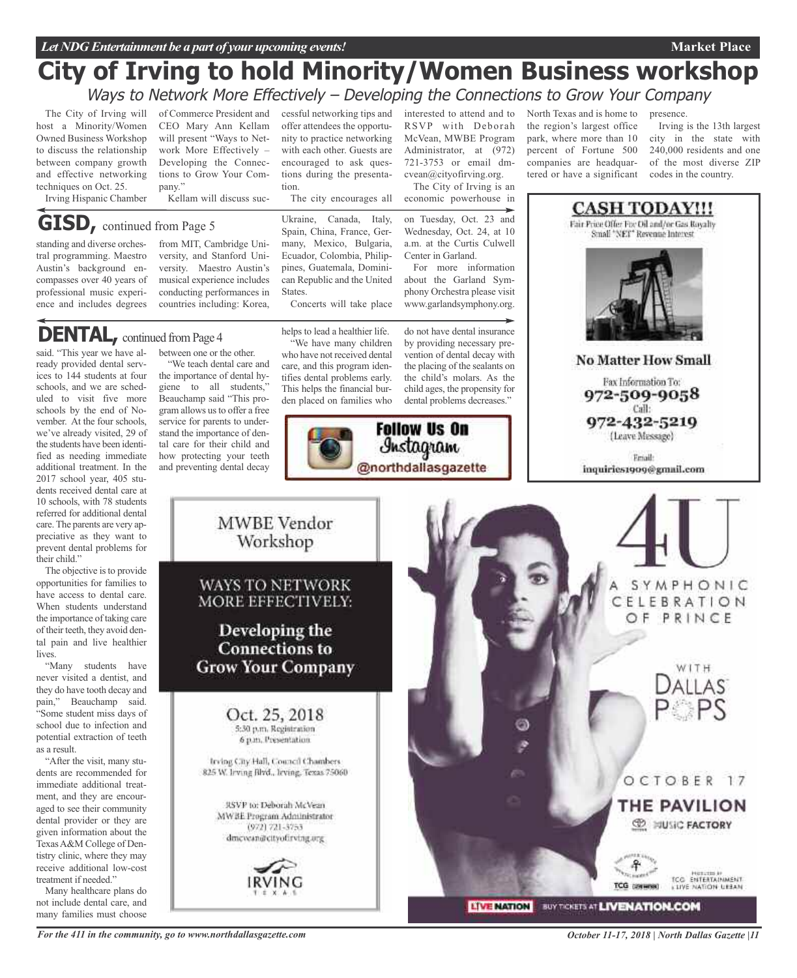### **City of Irving to hold Minority/Women Business workshop** Ways to Network More Effectively - Developing the Connections to Grow Your Company

The City of Irving will host a Minority/Women Owned Business Workshop to discuss the relationship between company growth and effective networking techniques on Oct. 25.

Irving Hispanic Chamber

of Commerce President and CEO Mary Ann Kellam will present "Ways to Network More Effectively – Developing the Connections to Grow Your Company."

Kellam will discuss suc-

### **GISD,** continued from Page <sup>5</sup>

standing and diverse orchestral programming. Maestro Austin's background encompasses over 40 years of professional music experience and includes degrees

from MIT, Cambridge University, and Stanford University. Maestro Austin's musical experience includes conducting performances in countries including: Korea,

**DENTAL**, continued from Page 4

said. "This year we have already provided dental services to 144 students at four schools, and we are scheduled to visit five more schools by the end of November. At the four schools, we've already visited, 29 of the students have been identified as needing immediate additional treatment. In the 2017 school year, 405 students received dental care at 10 schools, with 78 students referred for additional dental care.The parents are very appreciative as they want to prevent dental problems for their child."

The objective is to provide opportunities for families to have access to dental care. When students understand the importance of taking care of their teeth, they avoid dental pain and live healthier lives.

"Many students have never visited a dentist, and they do have tooth decay and pain," Beauchamp said. "Some student miss days of school due to infection and potential extraction of teeth as a result.

"After the visit, many students are recommended for immediate additional treatment, and they are encouraged to see their community dental provider or they are given information about the TexasA&M College of Dentistry clinic, where they may receive additional low-cost treatment if needed."

Many healthcare plans do not include dental care, and many families must choose

between one or the other. "We teach dental care and the importance of dental hygiene to all students," Beauchamp said "This program allows us to offer a free service for parents to under-

stand the importance of dental care for their child and how protecting your teeth and preventing dental decay cessful networking tips and offer attendees the opportunity to practice networking with each other. Guests are encouraged to ask questions during the presentation.

The city encourages all

Ukraine, Canada, Italy, Spain, China, France, Germany, Mexico, Bulgaria, Ecuador, Colombia, Philippines, Guatemala, Dominican Republic and the United States.

Concerts will take place

helps to lead a healthier life.

"We have many children who have not received dental care, and this program identifies dental problems early. This helps the financial burden placed on families who by providing necessary prevention of dental decay with the placing of the sealants on the child's molars. As the child ages, the propensity for dental problems decreases."





interested to attend and to RSVP with Deborah McVean, MWBE Program Administrator, at (972) 721-3753 or email dmcvean@cityofirving.org. The City of Irving is an

economic powerhouse in

on Tuesday, Oct. 23 and Wednesday, Oct. 24, at 10 a.m. at the Curtis Culwell North Texas and is home to the region's largest office park, where more than 10 percent of Fortune 500 companies are headquartered or have a significant

presence.

**CASH TODAY!!!** Fair Price Offer For Oil and/or Gas Royalty Small "NET" Revenue Interest

Irving is the 13th largest city in the state with 240,000 residents and one of the most diverse ZIP codes in the country.

**Market Place**

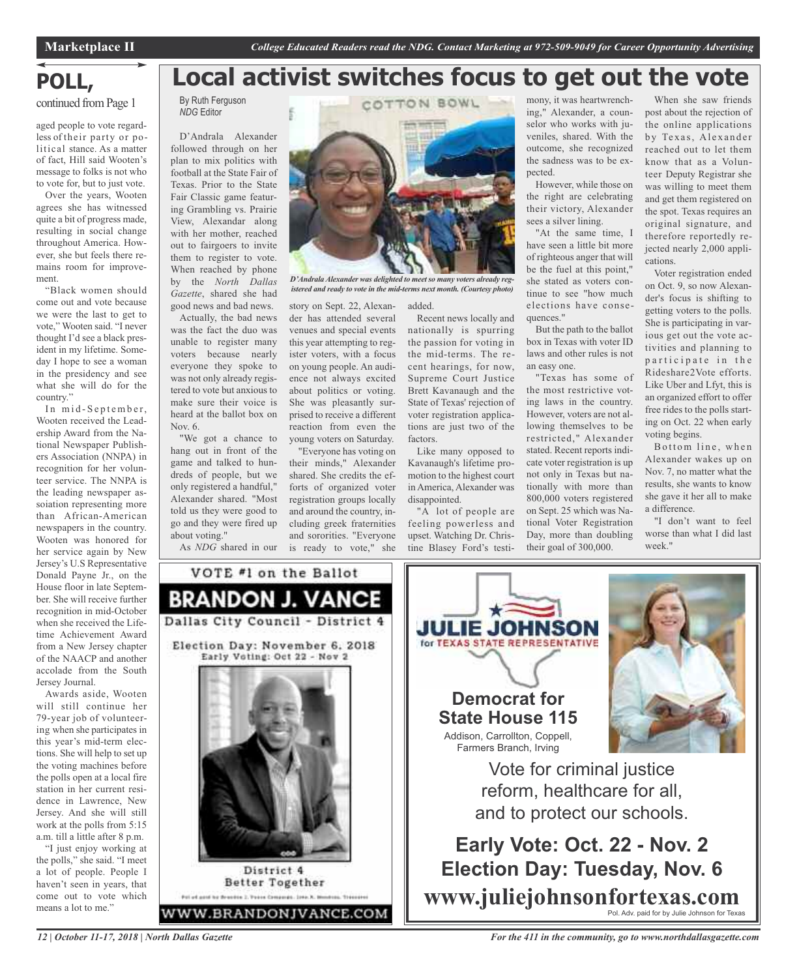**Local activist switches focus to get out the vote**

## **POLL,**

continued from Page 1

aged people to vote regardless of their party or political stance. As a matter of fact, Hill said Wooten's message to folks is not who to vote for, but to just vote.

Over the years, Wooten agrees she has witnessed quite a bit of progress made, resulting in social change throughout America. However, she but feels there remains room for improvement.

"Black women should come out and vote because we were the last to get to vote," Wooten said. "I never thought I'd see a black president in my lifetime. Someday I hope to see a woman in the presidency and see what she will do for the country."

In mid-September, Wooten received the Leadership Award from the National Newspaper Publishers Association (NNPA) in recognition for her volunteer service. The NNPA is the leading newspaper assoiation representing more than African-American newspapers in the country. Wooten was honored for her service again by New Jersey's U.S Representative Donald Payne Jr., on the House floor in late September. She will receive further recognition in mid-October when she received the Lifetime Achievement Award from a New Jersey chapter of the NAACP and another accolade from the South Jersey Journal.

Awards aside, Wooten will still continue her 79-year job of volunteering when she participates in this year's mid-term elections. She will help to set up the voting machines before the polls open at a local fire station in her current residence in Lawrence, New Jersey. And she will still work at the polls from 5:15 a.m. till a little after 8 p.m.

"I just enjoy working at the polls," she said. "I meet a lot of people. People I haven't seen in years, that come out to vote which means a lot to me."

*12 | October 11-17, 2018 | North Dallas Gazette*

By Ruth Ferguson *NDG* Editor D'Andrala Alexander followed through on her

plan to mix politics with football at the State Fair of Texas. Prior to the State Fair Classic game featuring Grambling vs. Prairie View, Alexandar along with her mother, reached out to fairgoers to invite them to register to vote. When reached by phone by the *North Dallas Gazette*, shared she had good news and bad news.

Actually, the bad news was the fact the duo was unable to register many voters because nearly everyone they spoke to was not only already registered to vote but anxious to make sure their voice is heard at the ballot box on Nov. 6.

"We got a chance to hang out in front of the game and talked to hundreds of people, but we only registered a handful," Alexander shared. "Most told us they were good to go and they were fired up about voting."

As *NDG* shared in our

VOTE #1 on the Ballot

**BRANDON J. VANCE** 

Dallas City Council - District 4

Election Day: November 6, 2018 Early Voting: Oct 22 - Nov 2

District 4 **Better Together** Pol of good by Seautre 2. Trace Companie. 2nto X. Mondoni, Transanol WWW.BRANDONJVANCE.COM



*D'AndralaAlexander was delighted to meet so many voters already registered and ready to vote in the mid-terms next month. (Courtesy photo)*

story on Sept. 22, Alexander has attended several venues and special events this year attempting to register voters, with a focus on young people. An audience not always excited about politics or voting. She was pleasantly surprised to receive a different reaction from even the young voters on Saturday.

"Everyone has voting on their minds," Alexander shared. She credits the efforts of organized voter registration groups locally and around the country, including greek fraternities and sororities. "Everyone is ready to vote," she added.

Recent news locally and nationally is spurring the passion for voting in the mid-terms. The recent hearings, for now, Supreme Court Justice Brett Kavanaugh and the State of Texas' rejection of voter registration applications are just two of the factors.

Like many opposed to Kavanaugh's lifetime promotion to the highest court in America, Alexander was disappointed.

"A lot of people are feeling powerless and upset. Watching Dr. Christine Blasey Ford's testimony, it was heartwrenching," Alexander, a counselor who works with juveniles, shared. With the outcome, she recognized the sadness was to be expected.

However, while those on the right are celebrating their victory, Alexander sees a silver lining.

"At the same time, I have seen a little bit more of righteous anger that will be the fuel at this point," she stated as voters continue to see "how much elections have consequences."

But the path to the ballot box in Texas with voter ID laws and other rules is not an easy one.

"Texas has some of the most restrictive voting laws in the country. However, voters are not allowing themselves to be restricted," Alexander stated. Recent reports indicate voter registration is up not only in Texas but nationally with more than 800,000 voters registered on Sept. 25 which was National Voter Registration Day, more than doubling their goal of 300,000.

When she saw friends post about the rejection of the online applications by Texas, Alexander reached out to let them know that as a Volunteer Deputy Registrar she was willing to meet them and get them registered on the spot. Texas requires an original signature, and therefore reportedly rejected nearly 2,000 applications.

Voter registration ended on Oct. 9, so now Alexander's focus is shifting to getting voters to the polls. She is participating in various get out the vote activities and planning to participate in the Rideshare2Vote efforts. Like Uber and Lfyt, this is an organized effort to offer free rides to the polls starting on Oct. 22 when early voting begins.

Bottom line, when Alexander wakes up on Nov. 7, no matter what the results, she wants to know she gave it her all to make a difference.

"I don't want to feel worse than what I did last week<sup>'</sup>



**www.juliejohnsonfortexas.com** Pol. Adv. paid for by Julie Johnson for Texas

*For the 411 in the community, go to www.northdallasgazette.com*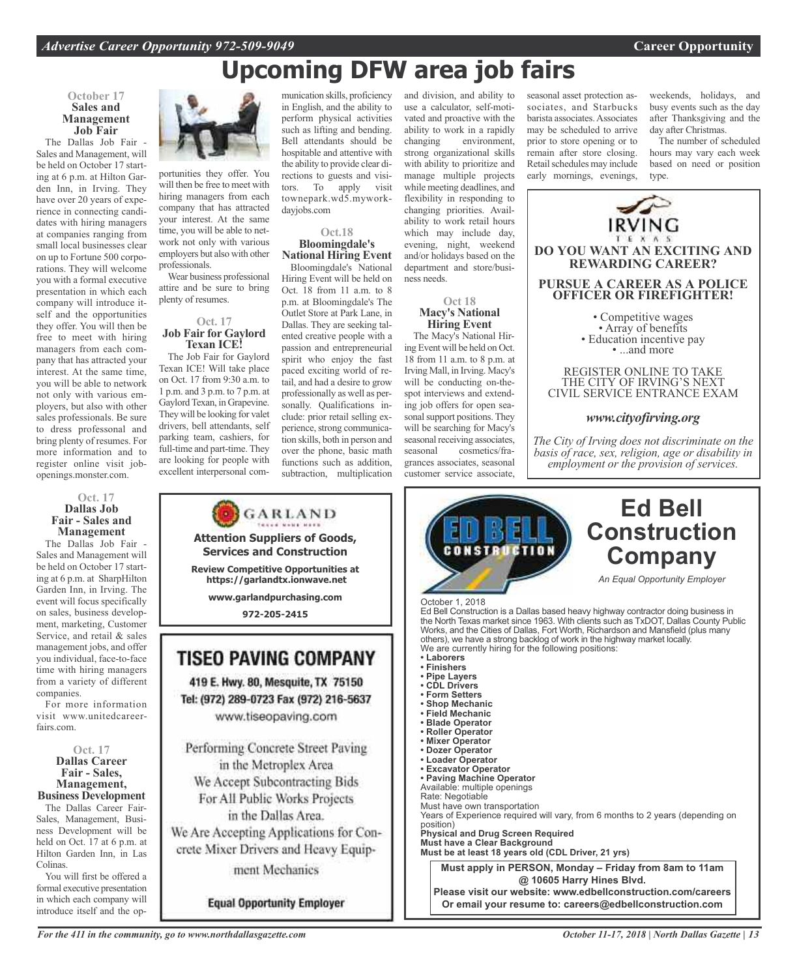### **Upcoming DFW area job fairs**

#### **October 17 Sales and Management Job Fair**

The Dallas Job Fair Sales and Management, will be held on October 17 starting at 6 p.m. at Hilton Garden Inn, in Irving. They have over 20 years of experience in connecting candidates with hiring managers at companies ranging from small local businesses clear on up to Fortune 500 corporations. They will welcome you with a formal executive presentation in which each company will introduce itself and the opportunities they offer. You will then be free to meet with hiring managers from each company that has attracted your interest. At the same time, you will be able to network not only with various employers, but also with other sales professionals. Be sure to dress professonal and bring plenty of resumes. For more information and to register online visit jobopenings.monster.com.

#### **Oct. 17 Dallas Job Fair - Sales and Management**

The Dallas Job Fair - Sales and Management will be held on October 17 starting at 6 p.m. at SharpHilton Garden Inn, in Irving. The event will focus specifically on sales, business development, marketing, Customer Service, and retail & sales management jobs, and offer you individual, face-to-face time with hiring managers from a variety of different companies.

For more information visit www.unitedcareerfairs.com.

**Oct. 17 Dallas Career Fair - Sales, Management, Business Development**

The Dallas Career Fair-Sales, Management, Business Development will be held on Oct. 17 at 6 p.m. at Hilton Garden Inn, in Las Colinas.

You will first be offered a formal executive presentation in which each company will introduce itself and the op-



portunities they offer. You will then be free to meet with hiring managers from each company that has attracted your interest. At the same time, you will be able to network not only with various employers but also with other professionals.

Wear business professional attire and be sure to bring plenty of resumes.

#### **Oct. 17 Job Fair for Gaylord Texan ICE!**

The Job Fair for Gaylord Texan ICE! Will take place on Oct. 17 from 9:30 a.m. to 1 p.m. and 3 p.m. to 7 p.m. at Gaylord Texan, in Grapevine. They will be looking for valet drivers, bell attendants, self parking team, cashiers, for full-time and part-time. They are looking for people with excellent interpersonal com-

munication skills, proficiency in English, and the ability to perform physical activities such as lifting and bending. Bell attendants should be hospitable and attentive with the ability to provide clear directions to guests and visitors. To apply visit townepark.wd5.myworkdayjobs.com

#### **Oct.18 Bloomingdale's National Hiring Event**

Bloomingdale's National Hiring Event will be held on Oct. 18 from 11 a.m. to 8 p.m. at Bloomingdale's The Outlet Store at Park Lane, in Dallas. They are seeking talented creative people with a passion and entrepreneurial spirit who enjoy the fast paced exciting world of retail, and had a desire to grow professionally as well as personally. Qualifications include: prior retail selling experience, strong communication skills, both in person and over the phone, basic math functions such as addition, subtraction, multiplication

and division, and ability to use a calculator, self-motivated and proactive with the ability to work in a rapidly<br>changing environment, environment, strong organizational skills with ability to prioritize and manage multiple projects while meeting deadlines, and flexibility in responding to changing priorities. Availability to work retail hours which may include day, evening, night, weekend and/or holidays based on the department and store/business needs.

**Oct 18**

#### **Macy's National Hiring Event**

The Macy's National Hiring Event will be held on Oct. 18 from 11 a.m. to 8 p.m. at Irving Mall, in Irving. Macy's will be conducting on-thespot interviews and extending job offers for open seasonal support positions. They will be searching for Macy's seasonal receiving associates, seasonal cosmetics/fragrances associates, seasonal customer service associate,

seasonal asset protection associates, and Starbucks barista associates.Associates may be scheduled to arrive prior to store opening or to remain after store closing. Retail schedules may include early mornings, evenings,

weekends, holidays, and busy events such as the day after Thanksgiving and the day after Christmas.

The number of scheduled hours may vary each week based on need or position type.



#### *www.cityofirving.org*

*The City of Irving does not discriminate on the basis of race, sex, religion, age or disability in employment or the provision of services.*



*For the 411 in the community, go to www.northdallasgazette.com*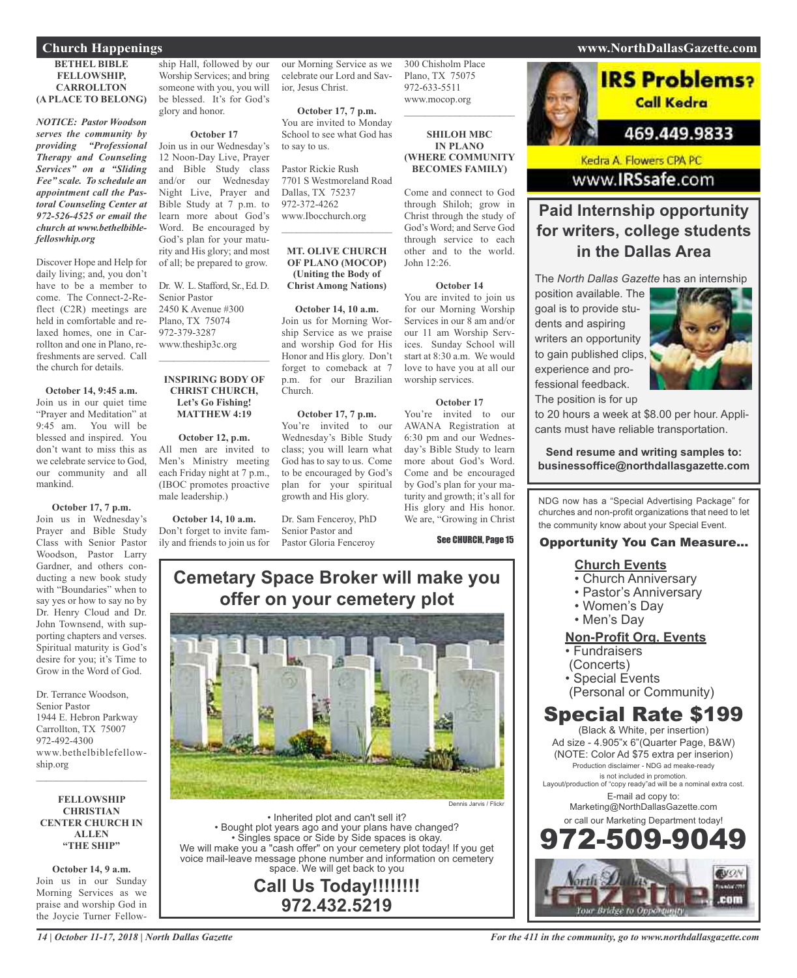#### **Church Happenings www.NorthDallasGazette.com**

#### **BETHEL BIBLE FELLOWSHIP, CARROLLTON (A PLACE TO BELONG)**

*NOTICE: Pastor Woodson serves the community by providing "Professional Therapy and Counseling Services" on a "Sliding Fee" scale. To schedule an appointment call the Pastoral Counseling Center at 972-526-4525 or email the church at www.bethelbiblefelloswhip.org*

Discover Hope and Help for daily living; and, you don't have to be a member to come. The Connect-2-Reflect (C2R) meetings are held in comfortable and relaxed homes, one in Carrollton and one in Plano, refreshments are served. Call the church for details.

**October 14, 9:45 a.m.** Join us in our quiet time "Prayer and Meditation" at 9:45 am. You will be blessed and inspired. You don't want to miss this as we celebrate service to God our community and all mankind.

#### **October 17, 7 p.m.**

Join us in Wednesday's Prayer and Bible Study Class with Senior Pastor Woodson, Pastor Larry Gardner, and others conducting a new book study with "Boundaries" when to say yes or how to say no by Dr. Henry Cloud and Dr. John Townsend, with supporting chapters and verses. Spiritual maturity is God's desire for you; it's Time to Grow in the Word of God.

Dr. Terrance Woodson, Senior Pastor 1944 E. Hebron Parkway Carrollton, TX 75007 972-492-4300 www.bethelbiblefellowship.org

**FELLOWSHIP CHRISTIAN CENTER CHURCH IN ALLEN "THE SHIP"**

 $\mathcal{L}=\mathcal{L}^{\mathcal{L}}$  , where  $\mathcal{L}^{\mathcal{L}}$  , we have the set of the set of the set of the set of the set of the set of the set of the set of the set of the set of the set of the set of the set of the set of the set of

**October 14, 9 a.m.** Join us in our Sunday Morning Services as we praise and worship God in the Joycie Turner Fellow-

ship Hall, followed by our Worship Services; and bring someone with you, you will be blessed. It's for God's glory and honor.

#### **October 17**

Join us in our Wednesday's 12 Noon-Day Live, Prayer and Bible Study class and/or our Wednesday Night Live, Prayer and Bible Study at 7 p.m. to learn more about God's Word. Be encouraged by God's plan for your maturity and His glory; and most of all; be prepared to grow.

Dr. W. L. Stafford, Sr., Ed. D. Senior Pastor 2450 K Avenue #300 Plano, TX 75074 972-379-3287 www.theship3c.org

#### **INSPIRING BODY OF CHRIST CHURCH, Let's Go Fishing! MATTHEW 4:19**

 $\mathcal{L}_\text{max}$  and  $\mathcal{L}_\text{max}$  and  $\mathcal{L}_\text{max}$ 

**October 12, p.m.** All men are invited to Men's Ministry meeting each Friday night at 7 p.m., (IBOC promotes proactive male leadership.)

**October 14, 10 a.m.** Don't forget to invite family and friends to join us for Pastor Gloria Fenceroy

our Morning Service as we celebrate our Lord and Savior, Jesus Christ.

**October 17, 7 p.m.** You are invited to Monday School to see what God has to say to us.

Pastor Rickie Rush 7701 S Westmoreland Road Dallas, TX 75237 972-372-4262 www.Ibocchurch.org  $\overline{\phantom{a}}$  , and the set of the set of the set of the set of the set of the set of the set of the set of the set of the set of the set of the set of the set of the set of the set of the set of the set of the set of the s

#### **MT. OLIVE CHURCH OF PLANO (MOCOP) (Uniting the Body of Christ Among Nations)**

**October 14, 10 a.m.** Join us for Morning Worship Service as we praise and worship God for His Honor and His glory. Don't forget to comeback at 7 p.m. for our Brazilian Church.

**October 17, 7 p.m.** You're invited to our Wednesday's Bible Study class; you will learn what God has to say to us. Come to be encouraged by God's plan for your spiritual growth and His glory.

Dr. Sam Fenceroy, PhD Senior Pastor and

300 Chisholm Place Plano, TX 75075 972-633-5511 www.mocop.org

#### **SHILOH MBC IN PLANO (WHERE COMMUNITY BECOMES FAMILY)**

 $\mathcal{L}$  , and the set of the set of the set of the set of the set of the set of the set of the set of the set of the set of the set of the set of the set of the set of the set of the set of the set of the set of the set

Come and connect to God through Shiloh; grow in Christ through the study of God's Word; and Serve God through service to each other and to the world. John 12:26.

#### **October 14**

You are invited to join us for our Morning Worship Services in our 8 am and/or our 11 am Worship Services. Sunday School will start at 8:30 a.m. We would love to have you at all our worship services.

#### **October 17**

You're invited to our AWANA Registration at 6:30 pm and our Wednesday's Bible Study to learn more about God's Word. Come and be encouraged by God's plan for your maturity and growth; it's all for His glory and His honor. We are, "Growing in Christ

See CHURCH, Page 15

### **Cemetary Space Broker will make you offer on your cemetery plot**



Dennis Jarvis / Flickr

• Inherited plot and can't sell it? • Bought plot years ago and your plans have changed? • Singles space or Side by Side spaces is okay. We will make you a "cash offer" on your cemetery plot today! If you get voice mail-leave message phone number and information on cemetery space. We will get back to you

> **Call Us Today!!!!!!!! 972.432.5219**

**IRS Problems?** Call Kedra 469.449.9833

Kedra A. Flowers CPA PC

www.IRSsafe.com

### **Paid Internship opportunity for writers, college students in the Dallas Area**

The *North Dallas Gazette* has an internship

position available. The goal is to provide students and aspiring writers an opportunity to gain published clips, experience and professional feedback. The position is for up



to 20 hours a week at \$8.00 per hour. Applicants must have reliable transportation.

**Send resume and writing samples to: businessoffice@northdallasgazette.com**

NDG now has a "Special Advertising Package" for churches and non-profit organizations that need to let the community know about your Special Event.

#### Opportunity You Can Measure...

#### **Church Events**

- Church Anniversary
- Pastor's Anniversary
- Women's Day
- Men's Day

#### **Non-Profit Org. Events**

- Fundraisers
- (Concerts)
- Special Events
- (Personal or Community)

### Special Rate \$199

(Black & White, per insertion) Ad size - 4.905"x 6"(Quarter Page, B&W) (NOTE: Color Ad \$75 extra per inserion) Production disclaimer - NDG ad meake-ready is not included in promotion. Layout/production of "copy ready"ad will be a nominal extra cost. E-mail ad copy to: Marketing@NorthDallasGazette.com or call our Marketing Department today! 972-509-9049

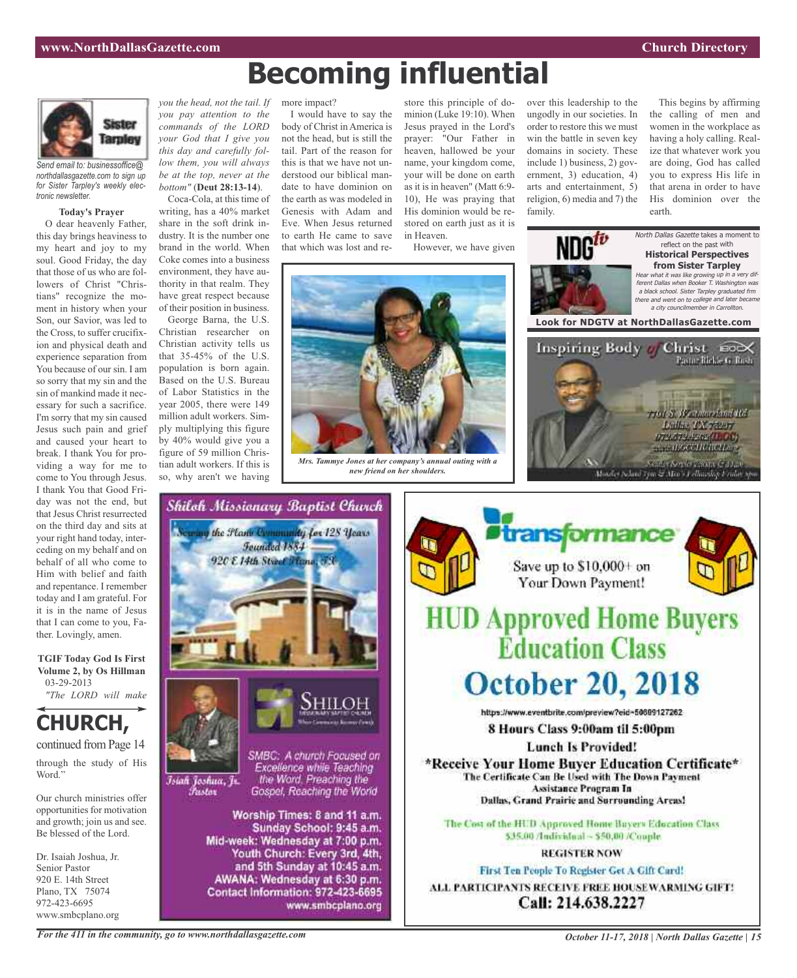

*Send email to: businessoffice@ northdallasgazette.com to sign up for Sister Tarpley's weekly electronic newsletter.*

#### **Today's Prayer**

O dear heavenly Father, this day brings heaviness to my heart and joy to my soul. Good Friday, the day that those of us who are followers of Christ "Christians" recognize the moment in history when your Son, our Savior, was led to the Cross, to suffer crucifixion and physical death and experience separation from You because of our sin. I am so sorry that my sin and the sin of mankind made it necessary for such a sacrifice. I'm sorry that my sin caused Jesus such pain and grief and caused your heart to break. I thank You for providing a way for me to come to You through Jesus. I thank You that Good Friday was not the end, but that Jesus Christ resurrected on the third day and sits at your right hand today, interceding on my behalf and on behalf of all who come to Him with belief and faith and repentance. I remember today and I am grateful. For it is in the name of Jesus that I can come to you, Father. Lovingly, amen.

**TGIF Today God Is First Volume 2, by Os Hillman** 03-29-2013

### *"The LORD will make*

**CHURCH,**

continued from Page 14

through the study of His Word."

Our church ministries offer opportunities for motivation and growth; join us and see. Be blessed of the Lord.

Dr. Isaiah Joshua, Jr. Senior Pastor 920 E. 14th Street Plano, TX 75074 972-423-6695 www.smbcplano.org

*you the head, not the tail. If you pay attention to the commands of the LORD your God that I give you this day and carefully follow them, you will always be at the top, never at the bottom"* (**Deut 28:13-14**).

Coca-Cola, at this time of writing, has a 40% market share in the soft drink industry. It is the number one brand in the world. When Coke comes into a business environment, they have authority in that realm. They have great respect because of their position in business.

George Barna, the U.S. Christian researcher on Christian activity tells us that 35-45% of the U.S. population is born again. Based on the U.S. Bureau of Labor Statistics in the year 2005, there were 149 million adult workers. Simply multiplying this figure by 40% would give you a figure of 59 million Christian adult workers. If this is so, why aren't we having

#### more impact?

I would have to say the body of Christ in America is not the head, but is still the tail. Part of the reason for this is that we have not understood our biblical mandate to have dominion on the earth as was modeled in Genesis with Adam and Eve. When Jesus returned to earth He came to save that which was lost and re-

store this principle of dominion (Luke 19:10). When Jesus prayed in the Lord's prayer: "Our Father in heaven, hallowed be your name, your kingdom come, your will be done on earth as it is in heaven" (Matt 6:9- 10), He was praying that His dominion would be restored on earth just as it is in Heaven.

However, we have given



**Becoming influential**

*Mrs. Tammye Jones at her company's annual outing with a new friend on her shoulders.*



This begins by affirming the calling of men and women in the workplace as having a holy calling. Realize that whatever work you are doing, God has called you to express His life in that arena in order to have His dominion over the earth.





www.smbcplano.org



*For the 411 in the community, go to www.northdallasgazette.com*

*October 11-17, 2018 | North Dallas Gazette | 15*